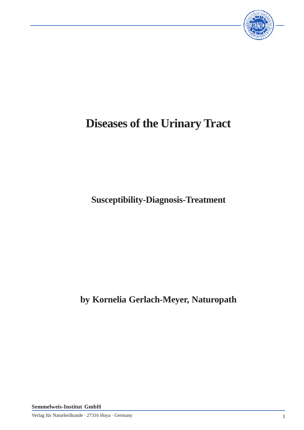

# **Diseases of the Urinary Tract**

**Susceptibility-Diagnosis-Treatment**

**by Kornelia Gerlach-Meyer, Naturopath**

**Semmelweis-Institut GmbH**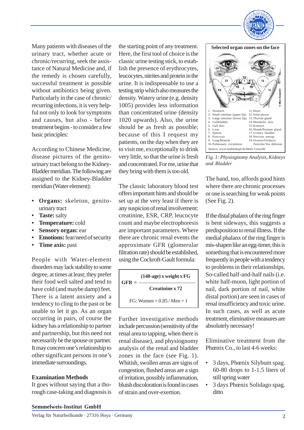

Many patients with diseases of the urinary tract, whether acute or chronic/recurring, seek the assistance of Natural Medicine and, if the remedy is chosen carefully, successful treatment is possible without antibiotics being given. Particularly in the case of chronic/ recurring infections, it is very helpful not only to look for symptoms and causes, but also - before treatment begins - to consider a few basic principles:

According to Chinese Medicine, disease pictures of the genitourinary tract belong to the Kidney-Bladder meridian. The following are assigned to the Kidney-Bladder meridian (Water element):

- **• Organs:** skeleton, genitourinary tract
- **• Taste:** salty
- **• Temperature:** cold
- **• Sensory organ:** ear
- **• Emotions:** fear/need of security
- **• Time axis:** past

People with Water-element disorders may lack stability to some degree, at times at least; they prefer their food well salted and tend to have cold (and maybe damp) feet. There is a latent anxiety and a tendency to cling to the past or be unable to let it go. As an organ occurring in pairs, of course the kidney has a relationship to partner and partnership, but this need not necessarily be the spouse or partner. It may concern one's relationship to other significant persons in one's immediate surroundings.

## **Examination Methods**

It goes without saying that a thorough case-taking and diagnosis is the starting point of any treatment. Here, the first tool of choice is the classic urine testing stick, to establish the presence of erythrocytes, leucocytes, nitrites and protein in the urine. It is indispensable to use a testing strip which also measures the density. Watery urine (e.g. density 1005) provides less information than concentrated urine (density 1020 upwards). Also, the urine should be as fresh as possible; because of this I request my patients, on the day when they are to visit me, exceptionally to drink very little, so that the urine is fresh and concentrated. For me, urine that they bring with them is too old.

The classic laboratory blood test offers important hints and should be set up at the very least if there is any suspicion of renal involvement: creatinine, ESR, CRP, leucocyte count and maybe electrophoresis are important parameters. Where there are chronic renal events the approximate GFR (glomerular filtration rate) should be established, using the Cockroft-Gault formula:

| $GFR = -$                    | $(140 \text{-age})$ x weight x FG |
|------------------------------|-----------------------------------|
|                              | Creatinine x 72                   |
| FG: Women = $0.85 /$ Men = 1 |                                   |

Further investigative methods include percussion (sensitivity of the renal area to tapping, when there is renal disease), and physiognomy analysis of the renal and bladder zones in the face (see Fig. 1). Whitish, swollen areas are signs of congestion, flushed areas are a sign of irritation, possibly inflammation, bluish discoloration is found in cases of strain and over-exertion.



*Fig. 1: Physiognomy Analysis, Kidneys and Bladder*

The hand, too, affords good hints where there are chronic processes or one is searching for weak points (See Fig. 2).

If the distal phalanx of the ring finger is bent sideways, this suggests a predisposition to renal illness. If the medial phalanx of the ring finger is mis-shapen like an egg-timer, this is something that is encountered more frequently in people with a tendency to problems in their relationships. So-called half-and-half nails (i.e. white half-moon, light portion of nail, dark portion of nail, white distal portion) are seen in cases of renal insufficiency and toxic urine. In such cases, as well as acute treatment, eliminative measures are absolutely necessary!

Eliminative treatment from the Phœnix Co., to last 4-6 weeks:

- 3 days, Phœnix Silybum spag. 60-80 drops to 1-1.5 liters of still spring water
- 3 days Phœnix Solidago spag. ditto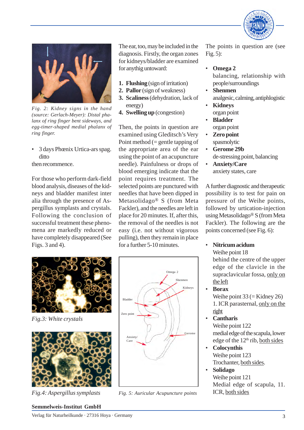



*Fig. 2: Kidney signs in the hand (source: Gerlach-Meyer): Distal phalanx of ring finger bent sideways, and egg-timer-shaped medial phalanx of ring finger.*

• 3 days Phœnix Urtica-ars spag. ditto

then recommence.

For those who perform dark-field blood analysis, diseases of the kidneys and bladder manifest inter alia through the presence of Aspergillus symplasts and crystals. Following the conclusion of successful treatment these phenomena are markedly reduced or have completely disappeared (See Figs. 3 and 4).

The ear, too, may be included in the diagnosis. Firstly, the organ zones for kidneys/bladder are examined for anythig untoward:

- **1. Flushing** (sign of irritation)
- **2. Pallor** (sign of weakness)
- **3. Scaliness** (dehydration, lack of energy)
- **4. Swelling up** (congestion)

Then, the points in question are examined using Gleditsch's Very Point method (= gentle tapping of the appropriate area of the ear using the point of an acupuncture needle). Painfulness or drops of blood emerging indicate that the point requires treatment. The selected points are punctured with needles that have been dipped in Metasolidago® S (from Meta Fackler), and the needles are left in place for 20 minutes. If, after this, the removal of the needles is not easy (i.e. not without vigorous pulling), then they remain in place for a further 5-10 minutes.



*Fig.3: White crystals*



*Fig.4: Aspergillus symplasts*



*Fig. 5: Auricular Acupuncture points* ICR, both sides

The points in question are (see Fig. 5):

• **Omega 2**

balancing, relationship with people/surroundings

- **Shenmen** analgesic, calming, antiphlogistic
- **Kidneys** organ point
- **Bladder** organ point
- **Zero point** spasmolytic
- **Gerome 29b** de-stressing point, balancing
- **Anxiety/Care** anxiety states, care

A further diagnostic and therapeutic possibility is to test for pain on pressure of the Weihe points, followed by urtication-injection using Metasolidago® S (from Meta Fackler). The following are the points concerned (see Fig. 6):

• **Nitricum acidum** Weihe point 18

behind the centre of the upper edge of the clavicle in the supraclavicular fossa, only on the left

• **Borax**

Weihe point  $33$  (= Kidney 26) 1. ICR parasternal, only on the right

- **Cantharis** Weihe point 122 medial edge of the scapula, lower edge of the 12<sup>th</sup> rib, both sides
- **Colocynthis** Weihe point 123 Trochanter, both sides.
- **Solidago** Weihe point 121 Medial edge of scapula, 11.

## **Semmelweis-Institut GmbH**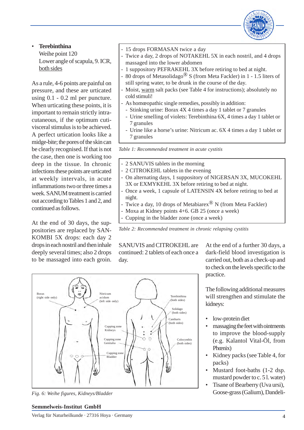

## • **Terebinthina**

Weihe point 120 Lower angle of scapula, 9. ICR, both sides

As a rule, 4-6 points are painful on pressure, and these are urticated using 0.1 - 0.2 ml per puncture. When urticating these points, it is important to remain strictly intracutaneous, if the optimum cutivisceral stimulus is to be achieved. A perfect urtication looks like a midge-bite; the pores of the skin can be clearly recognised. If that is not the case, then one is working too deep in the tissue. In chronic infections these points are urticated at weekly intervals, in acute inflammations two or three times a week. SANUM treatment is carried out according to Tables 1 and 2, and continued as follows.

At the end of 30 days, the suppositories are replaced by SAN-KOMBI 5X drops: each day 2 drops in each nostril and then inhale deeply several times; also 2 drops to be massaged into each groin.

- 15 drops FORMASAN twice a day
- Twice a day, 2 drops of NOTAKEHL 5X in each nostril, and 4 drops massaged into the lower abdomen
- 1 suppository PEFRAKEHL 3X before retiring to bed at night.
- 80 drops of Metasolidago® S (from Meta Fackler) in 1 1.5 liters of still spring water, to be drunk in the course of the day.
- Moist, warm salt packs (see Table 4 for instructions); absolutely no cold stimuli!
- As homœopathic single remedies, possibly in addition:
	- Stinking urine: Borax 4X 4 times a day 1 tablet or 7 granules
- Urine smelling of violets: Terebinthina 6X, 4 times a day 1 tablet or 7 granules
- Urine like a horse's urine: Nitricum ac. 6X 4 times a day 1 tablet or 7 granules

*Table 1: Recommended treatment in acute cystitis*

- 2 SANUVIS tablets in the morning
- 2 CITROKEHL tablets in the evening
	- On alternating days, 1 suppository of NIGERSAN 3X, MUCOKEHL 3X or EXMYKEHL 3X before retiring to bed at night.
- Once a week, 1 capsule of LATENSIN 4X before retiring to bed at night.
- Twice a day, 10 drops of Metabiarex<sup>®</sup> N (from Meta Fackler)
- Moxa at Kidney points 4+6. GB 25 (once a week)
- Cupping in the bladder zone (once a week)

*Table 2: Recommended treatment in chronic relapsing cystitis*

SANUVIS and CITROKEHL are continued: 2 tablets of each once a day.

At the end of a further 30 days, a dark-field blood investigation is carried out, both as a check-up and to check on the levels specific to the practice.

The following additional measures will strengthen and stimulate the kidneys:

- low-protein diet
- massaging the feet with ointments to improve the blood-supply (e.g. Kalantol Vital-Öl, from Phœnix)
- Kidney packs (see Table 4, for packs)
- Mustard foot-baths (1-2 dsp. mustard powder to c. 5 l. water)
- Tisane of Bearberry (Uva ursi), Goose-grass (Galium), Dandeli-



*Fig. 6: Weihe figures, Kidneys/Bladder*

# **Semmelweis-Institut GmbH**